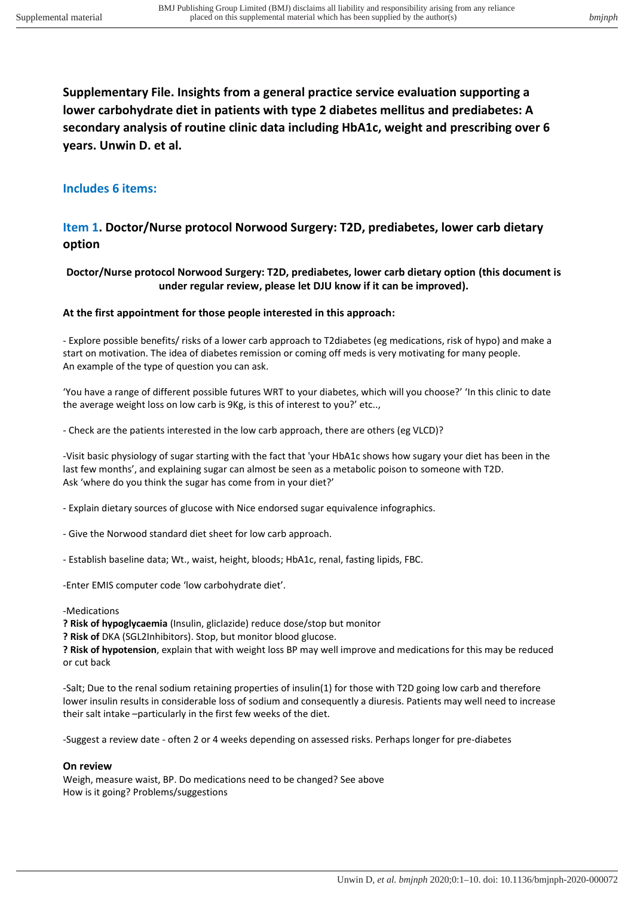**Supplementary File. Insights from a general practice service evaluation supporting a lower carbohydrate diet in patients with type 2 diabetes mellitus and prediabetes: A secondary analysis of routine clinic data including HbA1c, weight and prescribing over 6 years. Unwin D. et al.** 

### **Includes 6 items:**

### **Item 1. Doctor/Nurse protocol Norwood Surgery: T2D, prediabetes, lower carb dietary option**

#### **Doctor/Nurse protocol Norwood Surgery: T2D, prediabetes, lower carb dietary option (this document is under regular review, please let DJU know if it can be improved).**

#### **At the first appointment for those people interested in this approach:**

- Explore possible benefits/ risks of a lower carb approach to T2diabetes (eg medications, risk of hypo) and make a start on motivation. The idea of diabetes remission or coming off meds is very motivating for many people. An example of the type of question you can ask.

'You have a range of different possible futures WRT to your diabetes, which will you choose?' 'In this clinic to date the average weight loss on low carb is 9Kg, is this of interest to you?' etc..,

- Check are the patients interested in the low carb approach, there are others (eg VLCD)?

-Visit basic physiology of sugar starting with the fact that 'your HbA1c shows how sugary your diet has been in the last few months', and explaining sugar can almost be seen as a metabolic poison to someone with T2D. Ask 'where do you think the sugar has come from in your diet?'

- Explain dietary sources of glucose with Nice endorsed sugar equivalence infographics.

- Give the Norwood standard diet sheet for low carb approach.
- Establish baseline data; Wt., waist, height, bloods; HbA1c, renal, fasting lipids, FBC.

-Enter EMIS computer code 'low carbohydrate diet'.

#### -Medications

**? Risk of hypoglycaemia** (Insulin, gliclazide) reduce dose/stop but monitor

**? Risk of** DKA (SGL2Inhibitors). Stop, but monitor blood glucose.

**? Risk of hypotension**, explain that with weight loss BP may well improve and medications for this may be reduced or cut back

-Salt; Due to the renal sodium retaining properties of insulin(1) for those with T2D going low carb and therefore lower insulin results in considerable loss of sodium and consequently a diuresis. Patients may well need to increase their salt intake –particularly in the first few weeks of the diet.

-Suggest a review date - often 2 or 4 weeks depending on assessed risks. Perhaps longer for pre-diabetes

#### **On review**

Weigh, measure waist, BP. Do medications need to be changed? See above How is it going? Problems/suggestions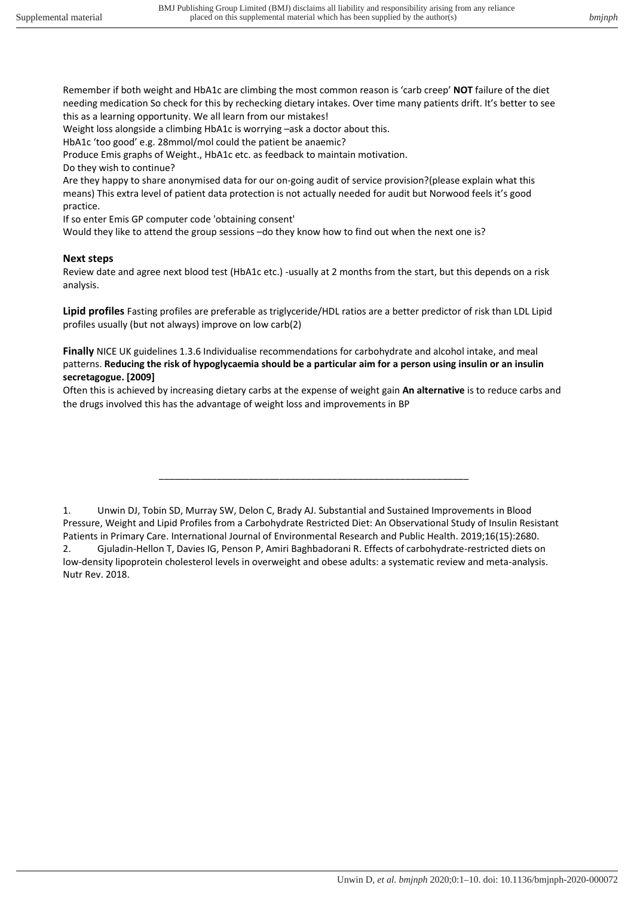Remember if both weight and HbA1c are climbing the most common reason is 'carb creep' **NOT** failure of the diet needing medication So check for this by rechecking dietary intakes. Over time many patients drift. It's better to see this as a learning opportunity. We all learn from our mistakes!

Weight loss alongside a climbing HbA1c is worrying –ask a doctor about this.

HbA1c 'too good' e.g. 28mmol/mol could the patient be anaemic?

Produce Emis graphs of Weight., HbA1c etc. as feedback to maintain motivation.

Do they wish to continue?

Are they happy to share anonymised data for our on-going audit of service provision?(please explain what this means) This extra level of patient data protection is not actually needed for audit but Norwood feels it's good practice.

If so enter Emis GP computer code 'obtaining consent'

Would they like to attend the group sessions –do they know how to find out when the next one is?

#### **Next steps**

Review date and agree next blood test (HbA1c etc.) -usually at 2 months from the start, but this depends on a risk analysis.

**Lipid profiles** Fasting profiles are preferable as triglyceride/HDL ratios are a better predictor of risk than LDL Lipid profiles usually (but not always) improve on low carb(2)

**Finally** NICE UK guidelines 1.3.6 Individualise recommendations for carbohydrate and alcohol intake, and meal patterns. **Reducing the risk of hypoglycaemia should be a particular aim for a person using insulin or an insulin secretagogue. [2009]** 

Often this is achieved by increasing dietary carbs at the expense of weight gain **An alternative** is to reduce carbs and the drugs involved this has the advantage of weight loss and improvements in BP

\_\_\_\_\_\_\_\_\_\_\_\_\_\_\_\_\_\_\_\_\_\_\_\_\_\_\_\_\_\_\_\_\_\_\_\_\_\_\_\_\_\_\_\_\_\_\_\_\_\_\_\_\_\_\_\_\_\_\_

<sup>1.</sup> Unwin DJ, Tobin SD, Murray SW, Delon C, Brady AJ. Substantial and Sustained Improvements in Blood Pressure, Weight and Lipid Profiles from a Carbohydrate Restricted Diet: An Observational Study of Insulin Resistant Patients in Primary Care. International Journal of Environmental Research and Public Health. 2019;16(15):2680. 2. Gjuladin-Hellon T, Davies IG, Penson P, Amiri Baghbadorani R. Effects of carbohydrate-restricted diets on low-density lipoprotein cholesterol levels in overweight and obese adults: a systematic review and meta-analysis. Nutr Rev. 2018.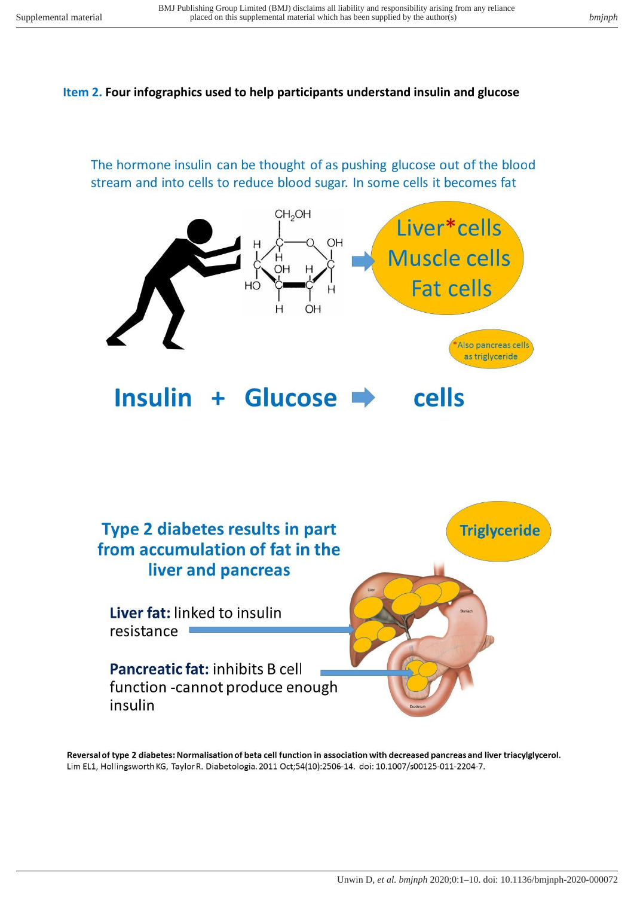### **Item 2. Four infographics used to help participants understand insulin and glucose**

The hormone insulin can be thought of as pushing glucose out of the blood stream and into cells to reduce blood sugar. In some cells it becomes fat





Reversal of type 2 diabetes: Normalisation of beta cell function in association with decreased pancreas and liver triacylglycerol. Lim EL1, Hollingsworth KG, Taylor R. Diabetologia. 2011 Oct;54(10):2506-14. doi: 10.1007/s00125-011-2204-7.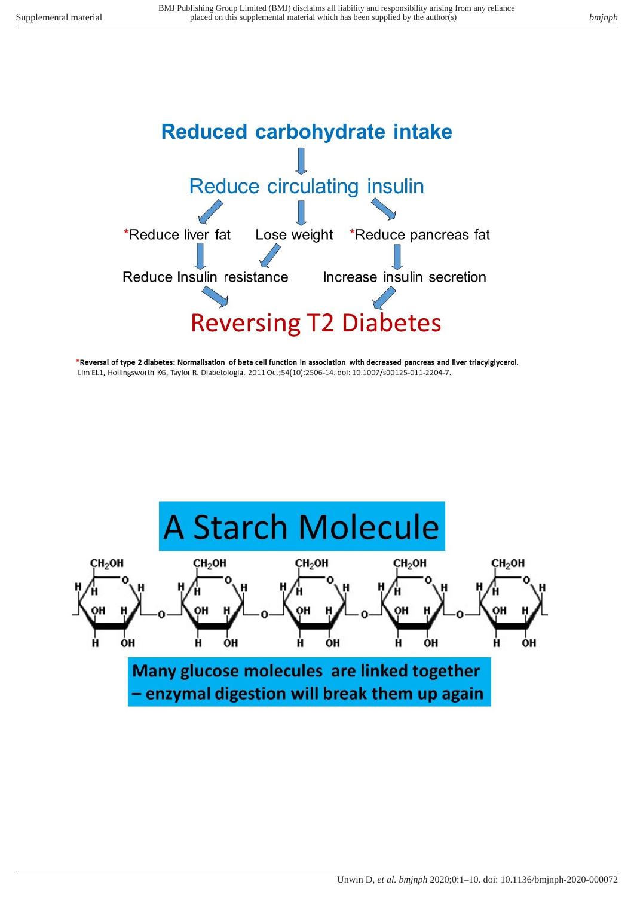

\*Reversal of type 2 diabetes: Normalisation of beta cell function in association with decreased pancreas and liver triacylglycerol. Lim EL1, Hollingsworth KG, Taylor R. Diabetologia. 2011 Oct;54(10):2506-14. doi: 10.1007/s00125-011-2204-7.

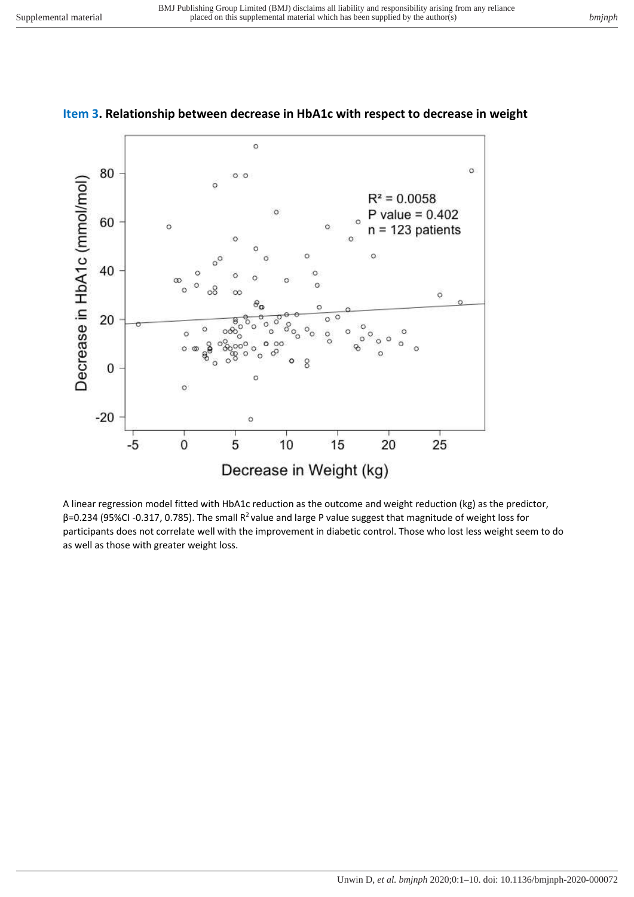

### **Item 3. Relationship between decrease in HbA1c with respect to decrease in weight**

A linear regression model fitted with HbA1c reduction as the outcome and weight reduction (kg) as the predictor, β=0.234 (95%CI -0.317, 0.785). The small R<sup>2</sup>value and large P value suggest that magnitude of weight loss for participants does not correlate well with the improvement in diabetic control. Those who lost less weight seem to do as well as those with greater weight loss.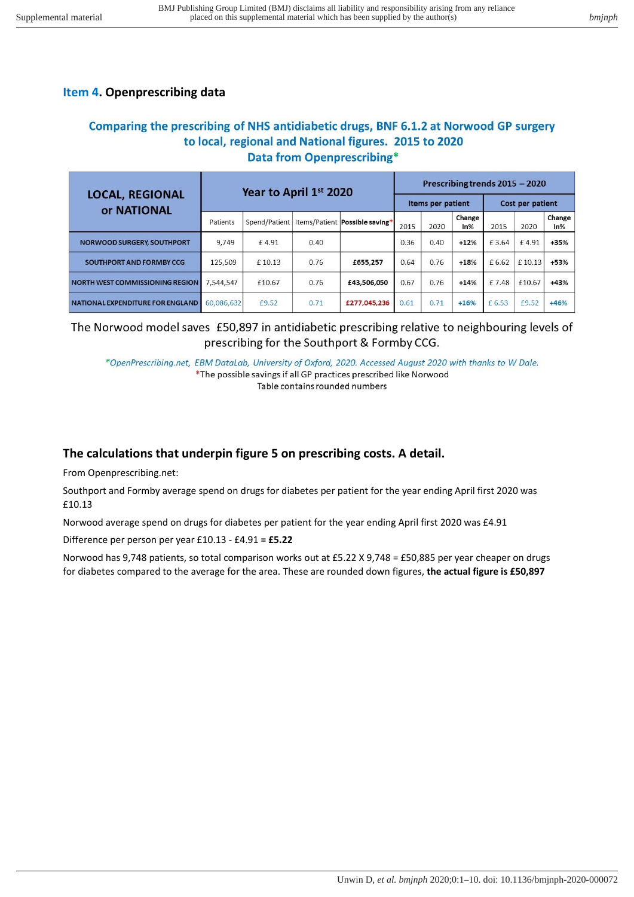## **Item 4. Openprescribing data**

## Comparing the prescribing of NHS antidiabetic drugs, BNF 6.1.2 at Norwood GP surgery to local, regional and National figures. 2015 to 2020 **Data from Openprescribing\***

| <b>LOCAL, REGIONAL</b><br>or NATIONAL  | Year to April 1st 2020 |        |      |                                                  | Prescribing trends 2015 - 2020 |      |               |                  |        |               |
|----------------------------------------|------------------------|--------|------|--------------------------------------------------|--------------------------------|------|---------------|------------------|--------|---------------|
|                                        |                        |        |      |                                                  | Items per patient              |      |               | Cost per patient |        |               |
|                                        | Patients               |        |      | Spend/Patient   Items/Patient   Possible saving* | 2015                           | 2020 | Change<br>In% | 2015             | 2020   | Change<br>In% |
| <b>NORWOOD SURGERY, SOUTHPORT</b>      | 9,749                  | £4.91  | 0.40 |                                                  | 0.36                           | 0.40 | $+12%$        | £3.64            | f 4.91 | +35%          |
| SOUTHPORT AND FORMBY CCG               | 125.509                | £10.13 | 0.76 | £655,257                                         | 0.64                           | 0.76 | $+18%$        | £ 6.62           | £10.13 | +53%          |
| <b>NORTH WEST COMMISSIONING REGION</b> | 7.544.547              | £10.67 | 0.76 | £43,506,050                                      | 0.67                           | 0.76 | $+14%$        | £7.48            | £10.67 | +43%          |
| NATIONAL EXPENDITURE FOR ENGLAND       | 60,086,632             | £9.52  | 0.71 | £277,045,236                                     | 0.61                           | 0.71 | $+16%$        | £ 6.53           | £9.52  | $+46%$        |

## The Norwood model saves £50,897 in antidiabetic prescribing relative to neighbouring levels of prescribing for the Southport & Formby CCG.

\*OpenPrescribing.net, EBM DataLab, University of Oxford, 2020. Accessed August 2020 with thanks to W Dale. \*The possible savings if all GP practices prescribed like Norwood Table contains rounded numbers

# **The calculations that underpin figure 5 on prescribing costs. A detail.**

From Openprescribing.net:

Southport and Formby average spend on drugs for diabetes per patient for the year ending April first 2020 was £10.13

Norwood average spend on drugs for diabetes per patient for the year ending April first 2020 was £4.91

Difference per person per year £10.13 - £4.91 **= £5.22**

Norwood has 9,748 patients, so total comparison works out at £5.22 X 9,748 = £50,885 per year cheaper on drugs for diabetes compared to the average for the area. These are rounded down figures, **the actual figure is £50,897**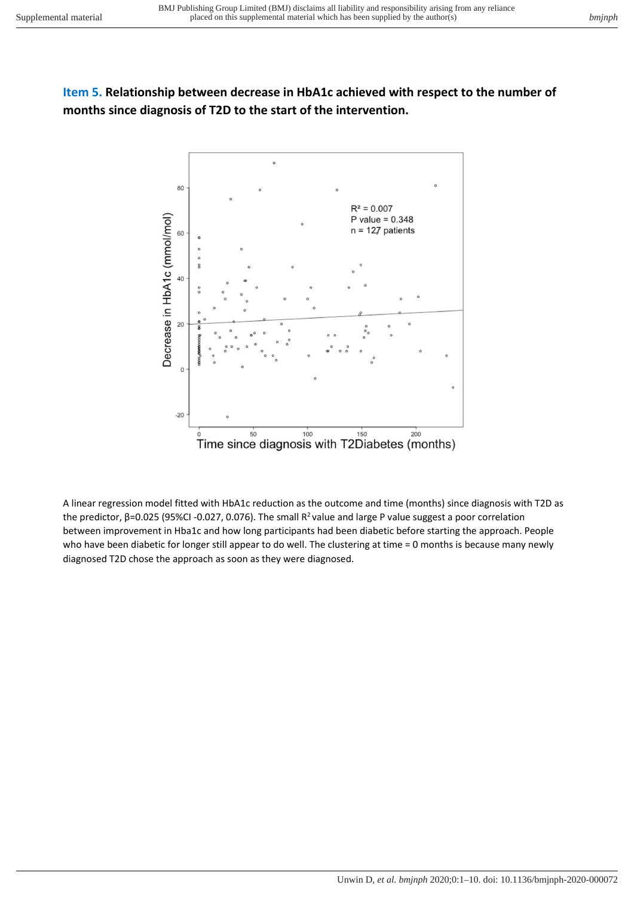# **Item 5. Relationship between decrease in HbA1c achieved with respect to the number of months since diagnosis of T2D to the start of the intervention.**



A linear regression model fitted with HbA1c reduction as the outcome and time (months) since diagnosis with T2D as the predictor, β=0.025 (95%CI -0.027, 0.076). The small  $R^2$  value and large P value suggest a poor correlation between improvement in Hba1c and how long participants had been diabetic before starting the approach. People who have been diabetic for longer still appear to do well. The clustering at time = 0 months is because many newly diagnosed T2D chose the approach as soon as they were diagnosed.